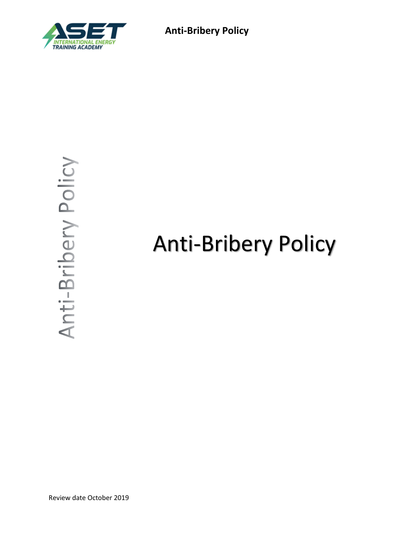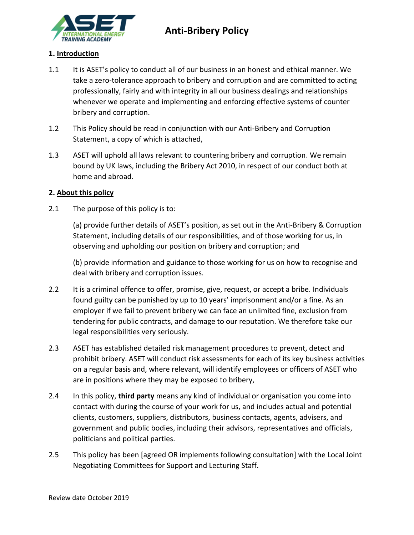

### **1. Introduction**

- 1.1 It is ASET's policy to conduct all of our business in an honest and ethical manner. We take a zero-tolerance approach to bribery and corruption and are committed to acting professionally, fairly and with integrity in all our business dealings and relationships whenever we operate and implementing and enforcing effective systems of counter bribery and corruption.
- 1.2 This Policy should be read in conjunction with our Anti-Bribery and Corruption Statement, a copy of which is attached,
- 1.3 ASET will uphold all laws relevant to countering bribery and corruption. We remain bound by UK laws, including the Bribery Act 2010, in respect of our conduct both at home and abroad.

### **2. About this policy**

2.1 The purpose of this policy is to:

(a) provide further details of ASET's position, as set out in the Anti-Bribery & Corruption Statement, including details of our responsibilities, and of those working for us, in observing and upholding our position on bribery and corruption; and

(b) provide information and guidance to those working for us on how to recognise and deal with bribery and corruption issues.

- 2.2 It is a criminal offence to offer, promise, give, request, or accept a bribe. Individuals found guilty can be punished by up to 10 years' imprisonment and/or a fine. As an employer if we fail to prevent bribery we can face an unlimited fine, exclusion from tendering for public contracts, and damage to our reputation. We therefore take our legal responsibilities very seriously.
- 2.3 ASET has established detailed risk management procedures to prevent, detect and prohibit bribery. ASET will conduct risk assessments for each of its key business activities on a regular basis and, where relevant, will identify employees or officers of ASET who are in positions where they may be exposed to bribery,
- 2.4 In this policy, **third party** means any kind of individual or organisation you come into contact with during the course of your work for us, and includes actual and potential clients, customers, suppliers, distributors, business contacts, agents, advisers, and government and public bodies, including their advisors, representatives and officials, politicians and political parties.
- 2.5 This policy has been [agreed OR implements following consultation] with the Local Joint Negotiating Committees for Support and Lecturing Staff.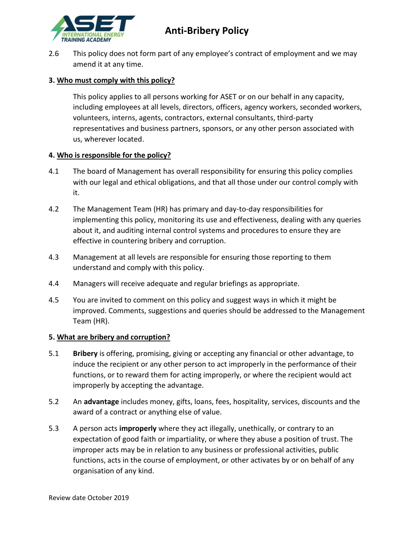

2.6 This policy does not form part of any employee's contract of employment and we may amend it at any time.

# **3. Who must comply with this policy?**

This policy applies to all persons working for ASET or on our behalf in any capacity, including employees at all levels, directors, officers, agency workers, seconded workers, volunteers, interns, agents, contractors, external consultants, third-party representatives and business partners, sponsors, or any other person associated with us, wherever located.

# **4. Who is responsible for the policy?**

- 4.1 The board of Management has overall responsibility for ensuring this policy complies with our legal and ethical obligations, and that all those under our control comply with it.
- 4.2 The Management Team (HR) has primary and day-to-day responsibilities for implementing this policy, monitoring its use and effectiveness, dealing with any queries about it, and auditing internal control systems and procedures to ensure they are effective in countering bribery and corruption.
- 4.3 Management at all levels are responsible for ensuring those reporting to them understand and comply with this policy.
- 4.4 Managers will receive adequate and regular briefings as appropriate.
- 4.5 You are invited to comment on this policy and suggest ways in which it might be improved. Comments, suggestions and queries should be addressed to the Management Team (HR).

# **5. What are bribery and corruption?**

- 5.1 **Bribery** is offering, promising, giving or accepting any financial or other advantage, to induce the recipient or any other person to act improperly in the performance of their functions, or to reward them for acting improperly, or where the recipient would act improperly by accepting the advantage.
- 5.2 An **advantage** includes money, gifts, loans, fees, hospitality, services, discounts and the award of a contract or anything else of value.
- 5.3 A person acts **improperly** where they act illegally, unethically, or contrary to an expectation of good faith or impartiality, or where they abuse a position of trust. The improper acts may be in relation to any business or professional activities, public functions, acts in the course of employment, or other activates by or on behalf of any organisation of any kind.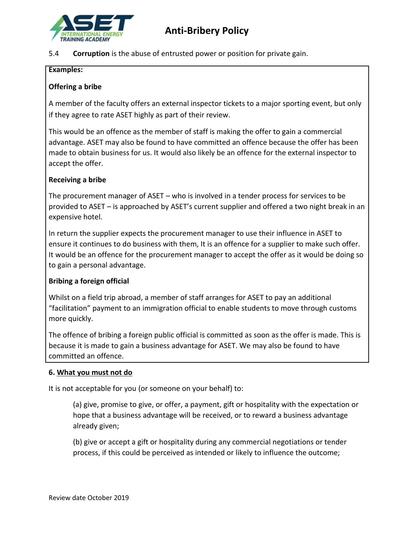

5.4 **Corruption** is the abuse of entrusted power or position for private gain.

### **Examples:**

# **Offering a bribe**

A member of the faculty offers an external inspector tickets to a major sporting event, but only if they agree to rate ASET highly as part of their review.

This would be an offence as the member of staff is making the offer to gain a commercial advantage. ASET may also be found to have committed an offence because the offer has been made to obtain business for us. It would also likely be an offence for the external inspector to accept the offer.

### **Receiving a bribe**

The procurement manager of ASET – who is involved in a tender process for services to be provided to ASET – is approached by ASET's current supplier and offered a two night break in an expensive hotel.

In return the supplier expects the procurement manager to use their influence in ASET to ensure it continues to do business with them, It is an offence for a supplier to make such offer. It would be an offence for the procurement manager to accept the offer as it would be doing so to gain a personal advantage.

# **Bribing a foreign official**

Whilst on a field trip abroad, a member of staff arranges for ASET to pay an additional "facilitation" payment to an immigration official to enable students to move through customs more quickly.

The offence of bribing a foreign public official is committed as soon as the offer is made. This is because it is made to gain a business advantage for ASET. We may also be found to have committed an offence.

### **6. What you must not do**

It is not acceptable for you (or someone on your behalf) to:

(a) give, promise to give, or offer, a payment, gift or hospitality with the expectation or hope that a business advantage will be received, or to reward a business advantage already given;

(b) give or accept a gift or hospitality during any commercial negotiations or tender process, if this could be perceived as intended or likely to influence the outcome;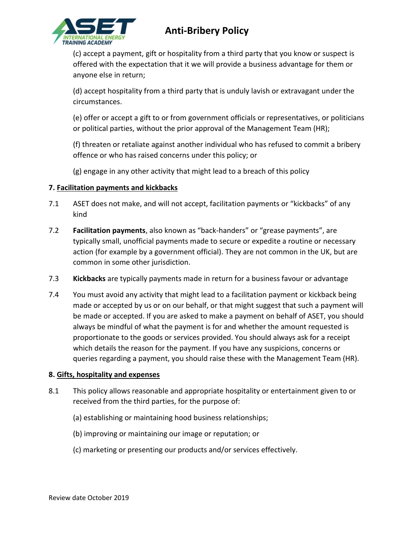

(c) accept a payment, gift or hospitality from a third party that you know or suspect is offered with the expectation that it we will provide a business advantage for them or anyone else in return;

(d) accept hospitality from a third party that is unduly lavish or extravagant under the circumstances.

(e) offer or accept a gift to or from government officials or representatives, or politicians or political parties, without the prior approval of the Management Team (HR);

(f) threaten or retaliate against another individual who has refused to commit a bribery offence or who has raised concerns under this policy; or

(g) engage in any other activity that might lead to a breach of this policy

# **7. Facilitation payments and kickbacks**

- 7.1 ASET does not make, and will not accept, facilitation payments or "kickbacks" of any kind
- 7.2 **Facilitation payments**, also known as "back-handers" or "grease payments", are typically small, unofficial payments made to secure or expedite a routine or necessary action (for example by a government official). They are not common in the UK, but are common in some other jurisdiction.
- 7.3 **Kickbacks** are typically payments made in return for a business favour or advantage
- 7.4 You must avoid any activity that might lead to a facilitation payment or kickback being made or accepted by us or on our behalf, or that might suggest that such a payment will be made or accepted. If you are asked to make a payment on behalf of ASET, you should always be mindful of what the payment is for and whether the amount requested is proportionate to the goods or services provided. You should always ask for a receipt which details the reason for the payment. If you have any suspicions, concerns or queries regarding a payment, you should raise these with the Management Team (HR).

# **8. Gifts, hospitality and expenses**

- 8.1 This policy allows reasonable and appropriate hospitality or entertainment given to or received from the third parties, for the purpose of:
	- (a) establishing or maintaining hood business relationships;
	- (b) improving or maintaining our image or reputation; or
	- (c) marketing or presenting our products and/or services effectively.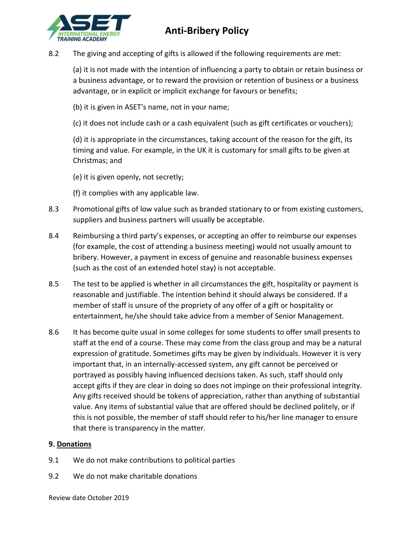

8.2 The giving and accepting of gifts is allowed if the following requirements are met:

(a) it is not made with the intention of influencing a party to obtain or retain business or a business advantage, or to reward the provision or retention of business or a business advantage, or in explicit or implicit exchange for favours or benefits;

- (b) it is given in ASET's name, not in your name;
- (c) it does not include cash or a cash equivalent (such as gift certificates or vouchers);

(d) it is appropriate in the circumstances, taking account of the reason for the gift, its timing and value. For example, in the UK it is customary for small gifts to be given at Christmas; and

- (e) it is given openly, not secretly;
- (f) it complies with any applicable law.
- 8.3 Promotional gifts of low value such as branded stationary to or from existing customers, suppliers and business partners will usually be acceptable.
- 8.4 Reimbursing a third party's expenses, or accepting an offer to reimburse our expenses (for example, the cost of attending a business meeting) would not usually amount to bribery. However, a payment in excess of genuine and reasonable business expenses (such as the cost of an extended hotel stay) is not acceptable.
- 8.5 The test to be applied is whether in all circumstances the gift, hospitality or payment is reasonable and justifiable. The intention behind it should always be considered. If a member of staff is unsure of the propriety of any offer of a gift or hospitality or entertainment, he/she should take advice from a member of Senior Management.
- 8.6 It has become quite usual in some colleges for some students to offer small presents to staff at the end of a course. These may come from the class group and may be a natural expression of gratitude. Sometimes gifts may be given by individuals. However it is very important that, in an internally-accessed system, any gift cannot be perceived or portrayed as possibly having influenced decisions taken. As such, staff should only accept gifts if they are clear in doing so does not impinge on their professional integrity. Any gifts received should be tokens of appreciation, rather than anything of substantial value. Any items of substantial value that are offered should be declined politely, or if this is not possible, the member of staff should refer to his/her line manager to ensure that there is transparency in the matter.

### **9. Donations**

- 9.1 We do not make contributions to political parties
- 9.2 We do not make charitable donations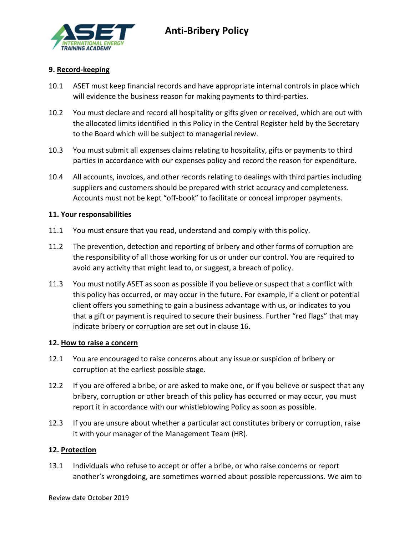

### **9. Record-keeping**

- 10.1 ASET must keep financial records and have appropriate internal controls in place which will evidence the business reason for making payments to third-parties.
- 10.2 You must declare and record all hospitality or gifts given or received, which are out with the allocated limits identified in this Policy in the Central Register held by the Secretary to the Board which will be subject to managerial review.
- 10.3 You must submit all expenses claims relating to hospitality, gifts or payments to third parties in accordance with our expenses policy and record the reason for expenditure.
- 10.4 All accounts, invoices, and other records relating to dealings with third parties including suppliers and customers should be prepared with strict accuracy and completeness. Accounts must not be kept "off-book" to facilitate or conceal improper payments.

#### **11. Your responsabilities**

- 11.1 You must ensure that you read, understand and comply with this policy.
- 11.2 The prevention, detection and reporting of bribery and other forms of corruption are the responsibility of all those working for us or under our control. You are required to avoid any activity that might lead to, or suggest, a breach of policy.
- 11.3 You must notify ASET as soon as possible if you believe or suspect that a conflict with this policy has occurred, or may occur in the future. For example, if a client or potential client offers you something to gain a business advantage with us, or indicates to you that a gift or payment is required to secure their business. Further "red flags" that may indicate bribery or corruption are set out in clause 16.

#### **12. How to raise a concern**

- 12.1 You are encouraged to raise concerns about any issue or suspicion of bribery or corruption at the earliest possible stage.
- 12.2 If you are offered a bribe, or are asked to make one, or if you believe or suspect that any bribery, corruption or other breach of this policy has occurred or may occur, you must report it in accordance with our whistleblowing Policy as soon as possible.
- 12.3 If you are unsure about whether a particular act constitutes bribery or corruption, raise it with your manager of the Management Team (HR).

#### **12. Protection**

13.1 Individuals who refuse to accept or offer a bribe, or who raise concerns or report another's wrongdoing, are sometimes worried about possible repercussions. We aim to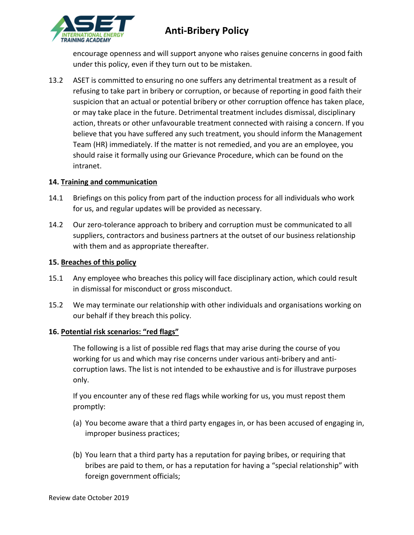

encourage openness and will support anyone who raises genuine concerns in good faith under this policy, even if they turn out to be mistaken.

13.2 ASET is committed to ensuring no one suffers any detrimental treatment as a result of refusing to take part in bribery or corruption, or because of reporting in good faith their suspicion that an actual or potential bribery or other corruption offence has taken place, or may take place in the future. Detrimental treatment includes dismissal, disciplinary action, threats or other unfavourable treatment connected with raising a concern. If you believe that you have suffered any such treatment, you should inform the Management Team (HR) immediately. If the matter is not remedied, and you are an employee, you should raise it formally using our Grievance Procedure, which can be found on the intranet.

# **14. Training and communication**

- 14.1 Briefings on this policy from part of the induction process for all individuals who work for us, and regular updates will be provided as necessary.
- 14.2 Our zero-tolerance approach to bribery and corruption must be communicated to all suppliers, contractors and business partners at the outset of our business relationship with them and as appropriate thereafter.

# **15. Breaches of this policy**

- 15.1 Any employee who breaches this policy will face disciplinary action, which could result in dismissal for misconduct or gross misconduct.
- 15.2 We may terminate our relationship with other individuals and organisations working on our behalf if they breach this policy.

# **16. Potential risk scenarios: "red flags"**

The following is a list of possible red flags that may arise during the course of you working for us and which may rise concerns under various anti-bribery and anticorruption laws. The list is not intended to be exhaustive and is for illustrave purposes only.

If you encounter any of these red flags while working for us, you must repost them promptly:

- (a) You become aware that a third party engages in, or has been accused of engaging in, improper business practices;
- (b) You learn that a third party has a reputation for paying bribes, or requiring that bribes are paid to them, or has a reputation for having a "special relationship" with foreign government officials;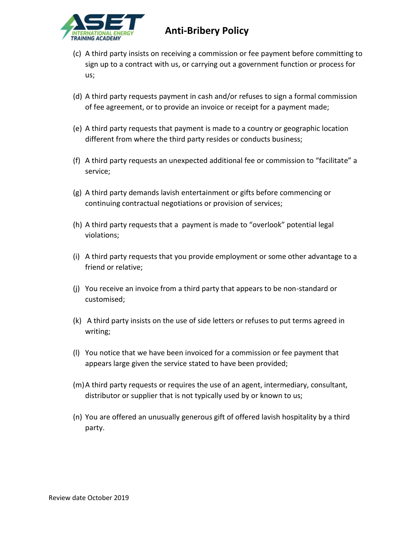

- (c) A third party insists on receiving a commission or fee payment before committing to sign up to a contract with us, or carrying out a government function or process for us;
- (d) A third party requests payment in cash and/or refuses to sign a formal commission of fee agreement, or to provide an invoice or receipt for a payment made;
- (e) A third party requests that payment is made to a country or geographic location different from where the third party resides or conducts business;
- (f) A third party requests an unexpected additional fee or commission to "facilitate" a service;
- (g) A third party demands lavish entertainment or gifts before commencing or continuing contractual negotiations or provision of services;
- (h) A third party requests that a payment is made to "overlook" potential legal violations;
- (i) A third party requests that you provide employment or some other advantage to a friend or relative;
- (j) You receive an invoice from a third party that appears to be non-standard or customised;
- (k) A third party insists on the use of side letters or refuses to put terms agreed in writing;
- (l) You notice that we have been invoiced for a commission or fee payment that appears large given the service stated to have been provided;
- (m)A third party requests or requires the use of an agent, intermediary, consultant, distributor or supplier that is not typically used by or known to us;
- (n) You are offered an unusually generous gift of offered lavish hospitality by a third party.